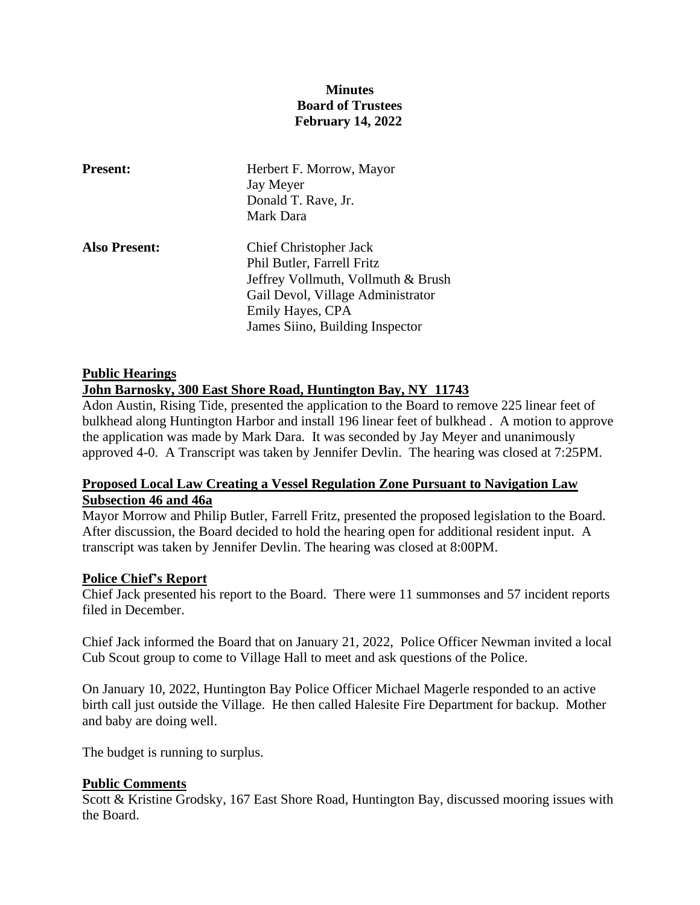# **Minutes Board of Trustees February 14, 2022**

| <b>Present:</b>      | Herbert F. Morrow, Mayor<br>Jay Meyer<br>Donald T. Rave, Jr.<br>Mark Dara                                                                                                                     |
|----------------------|-----------------------------------------------------------------------------------------------------------------------------------------------------------------------------------------------|
| <b>Also Present:</b> | <b>Chief Christopher Jack</b><br>Phil Butler, Farrell Fritz<br>Jeffrey Vollmuth, Vollmuth & Brush<br>Gail Devol, Village Administrator<br>Emily Hayes, CPA<br>James Siino, Building Inspector |

## **Public Hearings John Barnosky, 300 East Shore Road, Huntington Bay, NY 11743**

Adon Austin, Rising Tide, presented the application to the Board to remove 225 linear feet of bulkhead along Huntington Harbor and install 196 linear feet of bulkhead . A motion to approve the application was made by Mark Dara. It was seconded by Jay Meyer and unanimously approved 4-0. A Transcript was taken by Jennifer Devlin. The hearing was closed at 7:25PM.

# **Proposed Local Law Creating a Vessel Regulation Zone Pursuant to Navigation Law Subsection 46 and 46a**

Mayor Morrow and Philip Butler, Farrell Fritz, presented the proposed legislation to the Board. After discussion, the Board decided to hold the hearing open for additional resident input. A transcript was taken by Jennifer Devlin. The hearing was closed at 8:00PM.

# **Police Chief's Report**

Chief Jack presented his report to the Board. There were 11 summonses and 57 incident reports filed in December.

Chief Jack informed the Board that on January 21, 2022, Police Officer Newman invited a local Cub Scout group to come to Village Hall to meet and ask questions of the Police.

On January 10, 2022, Huntington Bay Police Officer Michael Magerle responded to an active birth call just outside the Village. He then called Halesite Fire Department for backup. Mother and baby are doing well.

The budget is running to surplus.

### **Public Comments**

Scott & Kristine Grodsky, 167 East Shore Road, Huntington Bay, discussed mooring issues with the Board.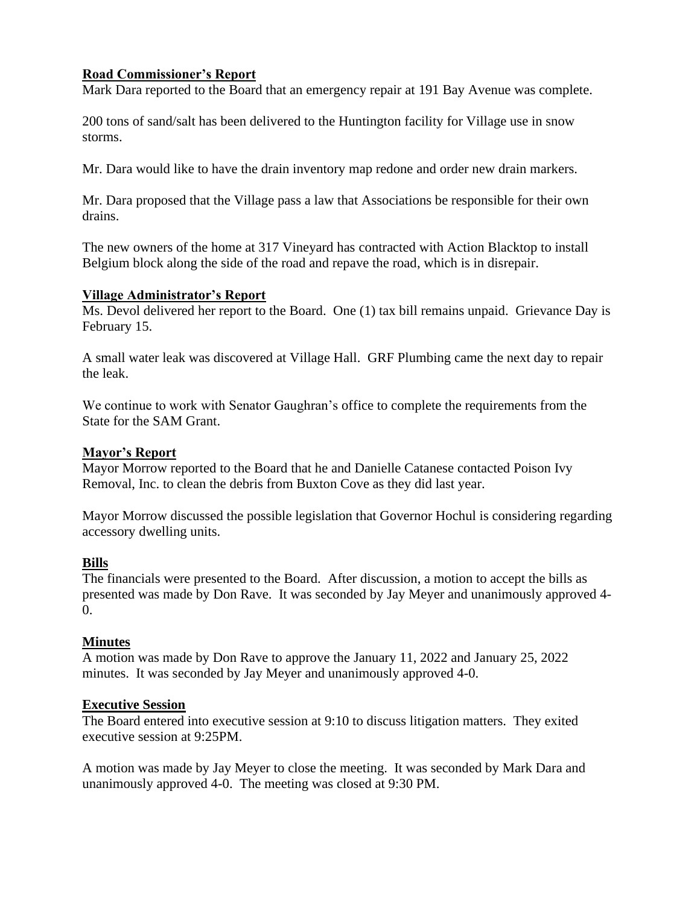## **Road Commissioner's Report**

Mark Dara reported to the Board that an emergency repair at 191 Bay Avenue was complete.

200 tons of sand/salt has been delivered to the Huntington facility for Village use in snow storms.

Mr. Dara would like to have the drain inventory map redone and order new drain markers.

Mr. Dara proposed that the Village pass a law that Associations be responsible for their own drains.

The new owners of the home at 317 Vineyard has contracted with Action Blacktop to install Belgium block along the side of the road and repave the road, which is in disrepair.

### **Village Administrator's Report**

Ms. Devol delivered her report to the Board. One (1) tax bill remains unpaid. Grievance Day is February 15.

A small water leak was discovered at Village Hall. GRF Plumbing came the next day to repair the leak.

We continue to work with Senator Gaughran's office to complete the requirements from the State for the SAM Grant.

## **Mayor's Report**

Mayor Morrow reported to the Board that he and Danielle Catanese contacted Poison Ivy Removal, Inc. to clean the debris from Buxton Cove as they did last year.

Mayor Morrow discussed the possible legislation that Governor Hochul is considering regarding accessory dwelling units.

### **Bills**

The financials were presented to the Board. After discussion, a motion to accept the bills as presented was made by Don Rave. It was seconded by Jay Meyer and unanimously approved 4-  $\Omega$ .

# **Minutes**

A motion was made by Don Rave to approve the January 11, 2022 and January 25, 2022 minutes. It was seconded by Jay Meyer and unanimously approved 4-0.

### **Executive Session**

The Board entered into executive session at 9:10 to discuss litigation matters. They exited executive session at 9:25PM.

A motion was made by Jay Meyer to close the meeting. It was seconded by Mark Dara and unanimously approved 4-0. The meeting was closed at 9:30 PM.